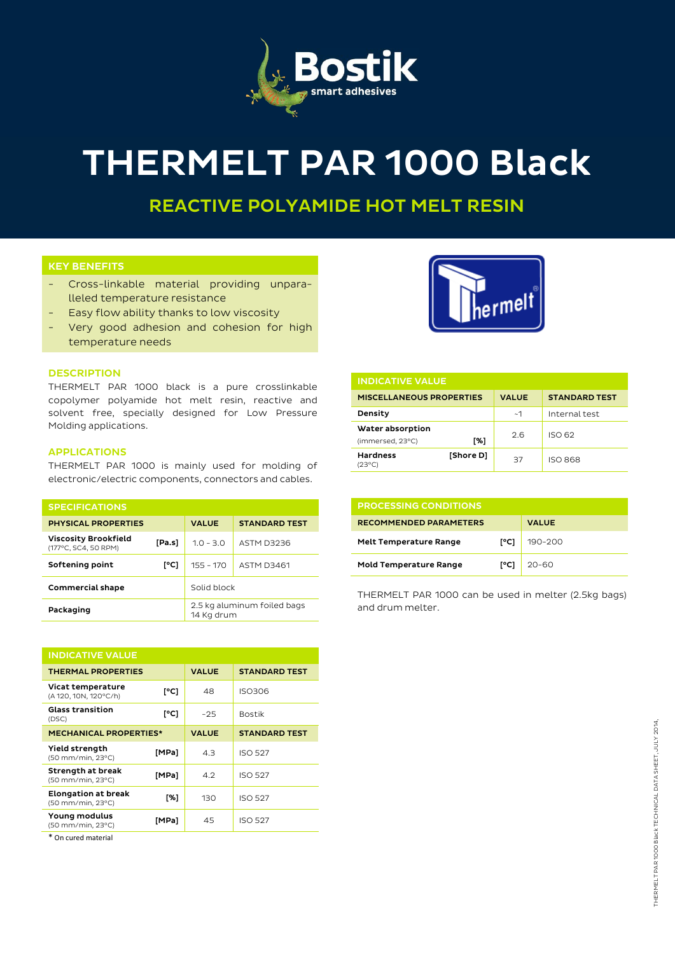

# THERMELT PAR 1000 Black

REACTIVE POLYAMIDE HOT MELT RESIN

## KEY BENEFITS

- Cross-linkable material providing unparalleled temperature resistance
- Easy flow ability thanks to low viscosity
- Very good adhesion and cohesion for high temperature needs



THERMELT PAR 1000 black is a pure crosslinkable copolymer polyamide hot melt resin, reactive and solvent free, specially designed for Low Pressure Molding applications.

## APPLICATIONS

THERMELT PAR 1000 is mainly used for molding of electronic/electric components, connectors and cables.

| <b>SPECIFICATIONS</b>                               |        |                                           |                      |
|-----------------------------------------------------|--------|-------------------------------------------|----------------------|
| <b>PHYSICAL PROPERTIES</b>                          |        | <b>VALUE</b>                              | <b>STANDARD TEST</b> |
| <b>Viscosity Brookfield</b><br>(177°C, SC4, 50 RPM) | [Pa.s] | $1.0 - 3.0$                               | ASTM D3236           |
| Softening point                                     | [°C]   | $155 - 170$                               | <b>ASTM D3461</b>    |
| Commercial shape                                    |        | Solid block                               |                      |
| Packaging                                           |        | 2.5 kg aluminum foiled bags<br>14 Kg drum |                      |

| <b>INDICATIVE VALUE</b>                         |       |              |                      |  |  |
|-------------------------------------------------|-------|--------------|----------------------|--|--|
| <b>THERMAL PROPERTIES</b>                       |       | <b>VALUE</b> | <b>STANDARD TEST</b> |  |  |
| Vicat temperature<br>(A 120, 10N, 120°C/h)      | [°C]  | 48           | <b>ISO306</b>        |  |  |
| <b>Glass transition</b><br>(DSC)                | [°C]  | $-25$        | <b>Bostik</b>        |  |  |
| <b>MECHANICAL PROPERTIES*</b>                   |       | <b>VALUE</b> | <b>STANDARD TEST</b> |  |  |
| Yield strength<br>(50 mm/min, 23°C)             | [MPa] | 4.3          | <b>ISO 527</b>       |  |  |
| Strength at break<br>(50 mm/min, 23°C)          | [MPa] | 4.2          | <b>ISO 527</b>       |  |  |
| <b>Elongation at break</b><br>(50 mm/min, 23°C) | [%]   | 130          | <b>ISO 527</b>       |  |  |
| Young modulus<br>(50 mm/min, 23°C)              | [MPa] | 45           | <b>ISO 527</b>       |  |  |

\* On cured material



| <b>INDICATIVE VALUE</b>         |           |              |                      |  |  |
|---------------------------------|-----------|--------------|----------------------|--|--|
| <b>MISCELLANEOUS PROPERTIES</b> |           | <b>VALUE</b> | <b>STANDARD TEST</b> |  |  |
| Density                         |           | ~1           | Internal test        |  |  |
| Water absorption                |           | 2.6          | ISO 62               |  |  |
| (immersed, 23°C)                | [%]       |              |                      |  |  |
| <b>Hardness</b><br>(23°C)       | [Shore D] | 37           | <b>ISO 868</b>       |  |  |

| <b>PROCESSING CONDITIONS</b>  |      |              |  |  |
|-------------------------------|------|--------------|--|--|
| <b>RECOMMENDED PARAMETERS</b> |      | <b>VALUE</b> |  |  |
| <b>Melt Temperature Range</b> | [°C] | 190-200      |  |  |
| <b>Mold Temperature Range</b> | [°C] | $20 - 60$    |  |  |

THERMELT PAR 1000 can be used in melter (2.5kg bags) and drum melter.